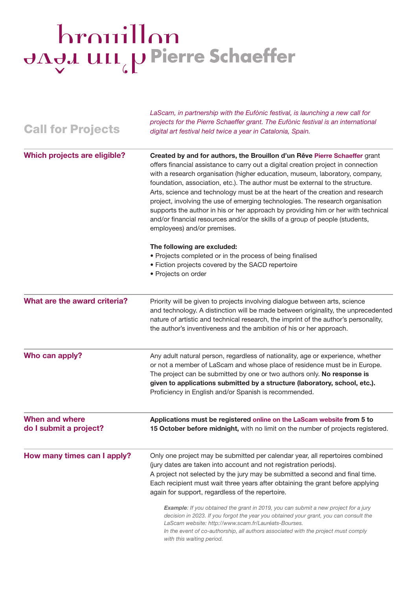## hrouillon JAJJ UII (UPierre Schaeffer

| <b>Call for Projects</b>                        | digital art festival held twice a year in Catalonia, Spain.                                                                                                                                                                                                                                                                                                                                                                                                                                                                                                                                                                                                                                              |
|-------------------------------------------------|----------------------------------------------------------------------------------------------------------------------------------------------------------------------------------------------------------------------------------------------------------------------------------------------------------------------------------------------------------------------------------------------------------------------------------------------------------------------------------------------------------------------------------------------------------------------------------------------------------------------------------------------------------------------------------------------------------|
| <b>Which projects are eligible?</b>             | Created by and for authors, the Brouillon d'un Rêve Pierre Schaeffer grant<br>offers financial assistance to carry out a digital creation project in connection<br>with a research organisation (higher education, museum, laboratory, company,<br>foundation, association, etc.). The author must be external to the structure.<br>Arts, science and technology must be at the heart of the creation and research<br>project, involving the use of emerging technologies. The research organisation<br>supports the author in his or her approach by providing him or her with technical<br>and/or financial resources and/or the skills of a group of people (students,<br>employees) and/or premises. |
|                                                 | The following are excluded:<br>• Projects completed or in the process of being finalised<br>• Fiction projects covered by the SACD repertoire<br>• Projects on order                                                                                                                                                                                                                                                                                                                                                                                                                                                                                                                                     |
| What are the award criteria?                    | Priority will be given to projects involving dialogue between arts, science<br>and technology. A distinction will be made between originality, the unprecedented<br>nature of artistic and technical research, the imprint of the author's personality,<br>the author's inventiveness and the ambition of his or her approach.                                                                                                                                                                                                                                                                                                                                                                           |
| Who can apply?                                  | Any adult natural person, regardless of nationality, age or experience, whether<br>or not a member of LaScam and whose place of residence must be in Europe.<br>The project can be submitted by one or two authors only. No response is<br>given to applications submitted by a structure (laboratory, school, etc.).<br>Proficiency in English and/or Spanish is recommended.                                                                                                                                                                                                                                                                                                                           |
| <b>When and where</b><br>do I submit a project? | Applications must be registered online on the LaScam website from 5 to<br>15 October before midnight, with no limit on the number of projects registered.                                                                                                                                                                                                                                                                                                                                                                                                                                                                                                                                                |
| How many times can I apply?                     | Only one project may be submitted per calendar year, all repertoires combined<br>(jury dates are taken into account and not registration periods).<br>A project not selected by the jury may be submitted a second and final time.<br>Each recipient must wait three years after obtaining the grant before applying<br>again for support, regardless of the repertoire.                                                                                                                                                                                                                                                                                                                                 |
|                                                 | <b>Example:</b> If you obtained the grant in 2019, you can submit a new project for a jury<br>decision in 2023. If you forgot the year you obtained your grant, you can consult the<br>LaScam website: http://www.scam.fr/Lauréats-Bourses.<br>In the event of co-authorship, all authors associated with the project must comply<br>with this waiting period.                                                                                                                                                                                                                                                                                                                                           |

LaScam, in partnership with the Eufònic festival, is launching a new call for projects for the Pierre Schaeffer grant. The Eufònic festival is an international